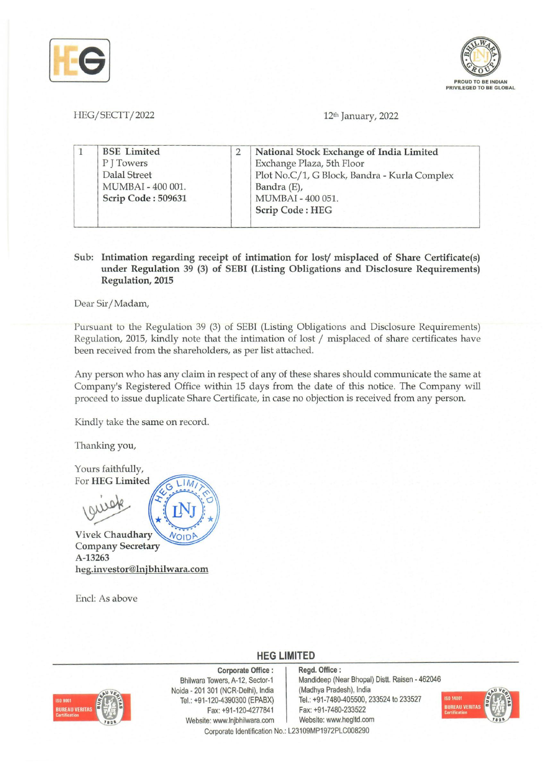



HEG/SECTT/2022 12<sup>th</sup> January, 2022

|  | <b>BSE</b> Limited | National Stock Exchange of India Limited     |
|--|--------------------|----------------------------------------------|
|  | P J Towers         | Exchange Plaza, 5th Floor                    |
|  | Dalal Street       | Plot No.C/1, G Block, Bandra - Kurla Complex |
|  | MUMBAI - 400 001.  | Bandra (E),                                  |
|  | Scrip Code: 509631 | MUMBAI - 400 051.                            |
|  |                    | Scrip Code: HEG                              |

Sub: Intimation regarding receipt of intimation for lost/ misplaced of Share Certificate(s) under Regulation 39 (3) of SEBI (Listing Obligations and Disclosure Requirements) Regulation, 2015

Dear Sir/Madam,

Pursuant to the Regulation 39 (3) of SEBI (Listing Obligations and Disclosure Requirements) Regulation, 2015, kindly note that the intimation of lost / misplaced of share certificates have been received from the shareholders, as per list attached.

Any person who has any claim in respect of any of these shares should communicate the same at Company's Registered Office within 15 days from the date of this notice. The Company will proceed to issue duplicate Share Certificate, in case no objection is received from any person.

Kindly take the same on record.

 $LIM$ 

Thanking you,

Yours faithfully, For HEG Limited

Vivek Chaudhary VOIDP Company Secretary A-13263 heg.investor@lnjbhilwara.com

Encl: As above

**HEG LIMITED** 



Website: www.lnjbhilwara.com | Website: www.hegltd.com Corporate Office: Bhilwara Towers, A·12, Sector-l Noida • 201 301 (NCR·Delhi), India Tel.: +91·120·4390300 (EPABX) Fax: +91·120-4277841

Regd. Office: Mandideep (Near Bhopal) Distt. Raisen ·462046 (Madhya Pradesh), India Tel.: +91·7480-405500, 233524 to 233527 Fax: +91·7480·233522



Corporate Identification No.: L23109MP1972PLC008290